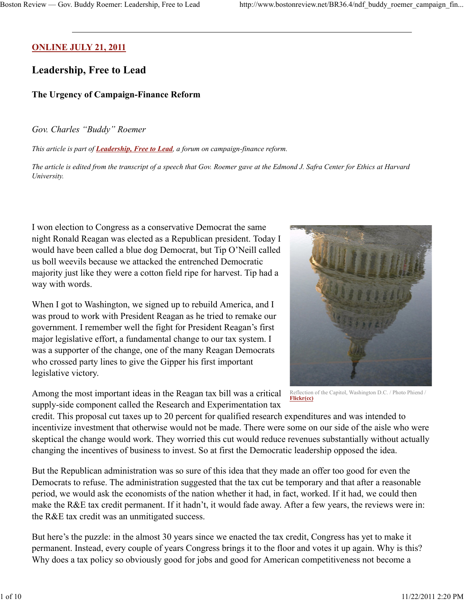# ONLINE JULY 21, 2011

# Leadership, Free to Lead

## The Urgency of Campaign-Finance Reform

Gov. Charles "Buddy" Roemer

This article is part of **Leadership, Free to Lead**, a forum on campaign-finance reform.

The article is edited from the transcript of a speech that Gov. Roemer gave at the Edmond J. Safra Center for Ethics at Harvard University.

I won election to Congress as a conservative Democrat the same night Ronald Reagan was elected as a Republican president. Today I would have been called a blue dog Democrat, but Tip O'Neill called us boll weevils because we attacked the entrenched Democratic majority just like they were a cotton field ripe for harvest. Tip had a way with words.

When I got to Washington, we signed up to rebuild America, and I was proud to work with President Reagan as he tried to remake our government. I remember well the fight for President Reagan's first major legislative effort, a fundamental change to our tax system. I was a supporter of the change, one of the many Reagan Democrats who crossed party lines to give the Gipper his first important legislative victory.

Among the most important ideas in the Reagan tax bill was a critical supply-side component called the Research and Experimentation tax



Reflection of the Capitol, Washington D.C. / Photo Phiend / Flickr(cc)

credit. This proposal cut taxes up to 20 percent for qualified research expenditures and was intended to incentivize investment that otherwise would not be made. There were some on our side of the aisle who were skeptical the change would work. They worried this cut would reduce revenues substantially without actually changing the incentives of business to invest. So at first the Democratic leadership opposed the idea.

But the Republican administration was so sure of this idea that they made an offer too good for even the Democrats to refuse. The administration suggested that the tax cut be temporary and that after a reasonable period, we would ask the economists of the nation whether it had, in fact, worked. If it had, we could then make the R&E tax credit permanent. If it hadn't, it would fade away. After a few years, the reviews were in: the R&E tax credit was an unmitigated success.

But here's the puzzle: in the almost 30 years since we enacted the tax credit, Congress has yet to make it permanent. Instead, every couple of years Congress brings it to the floor and votes it up again. Why is this? Why does a tax policy so obviously good for jobs and good for American competitiveness not become a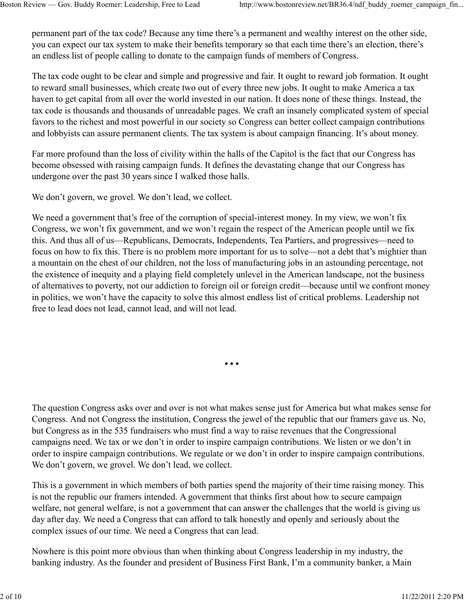permanent part of the tax code? Because any time there's a permanent and wealthy interest on the other side, you can expect our tax system to make their benefits temporary so that each time there's an election, there's an endless list of people calling to donate to the campaign funds of members of Congress.

The tax code ought to be clear and simple and progressive and fair. It ought to reward job formation. It ought to reward small businesses, which create two out of every three new jobs. It ought to make America a tax haven to get capital from all over the world invested in our nation. It does none of these things. Instead, the tax code is thousands and thousands of unreadable pages. We craft an insanely complicated system of special favors to the richest and most powerful in our society so Congress can better collect campaign contributions and lobbyists can assure permanent clients. The tax system is about campaign financing. It's about money.

Far more profound than the loss of civility within the halls of the Capitol is the fact that our Congress has become obsessed with raising campaign funds. It defines the devastating change that our Congress has undergone over the past 30 years since I walked those halls.

We don't govern, we grovel. We don't lead, we collect.

We need a government that's free of the corruption of special-interest money. In my view, we won't fix Congress, we won't fix government, and we won't regain the respect of the American people until we fix this. And thus all of us—Republicans, Democrats, Independents, Tea Partiers, and progressives—need to focus on how to fix this. There is no problem more important for us to solve—not a debt that's mightier than a mountain on the chest of our children, not the loss of manufacturing jobs in an astounding percentage, not the existence of inequity and a playing field completely unlevel in the American landscape, not the business of alternatives to poverty, not our addiction to foreign oil or foreign credit—because until we confront money in politics, we won't have the capacity to solve this almost endless list of critical problems. Leadership not free to lead does not lead, cannot lead, and will not lead.

• • •

The question Congress asks over and over is not what makes sense just for America but what makes sense for Congress. And not Congress the institution, Congress the jewel of the republic that our framers gave us. No, but Congress as in the 535 fundraisers who must find a way to raise revenues that the Congressional campaigns need. We tax or we don't in order to inspire campaign contributions. We listen or we don't in order to inspire campaign contributions. We regulate or we don't in order to inspire campaign contributions. We don't govern, we grovel. We don't lead, we collect.

This is a government in which members of both parties spend the majority of their time raising money. This is not the republic our framers intended. A government that thinks first about how to secure campaign welfare, not general welfare, is not a government that can answer the challenges that the world is giving us day after day. We need a Congress that can afford to talk honestly and openly and seriously about the complex issues of our time. We need a Congress that can lead.

Nowhere is this point more obvious than when thinking about Congress leadership in my industry, the banking industry. As the founder and president of Business First Bank, I'm a community banker, a Main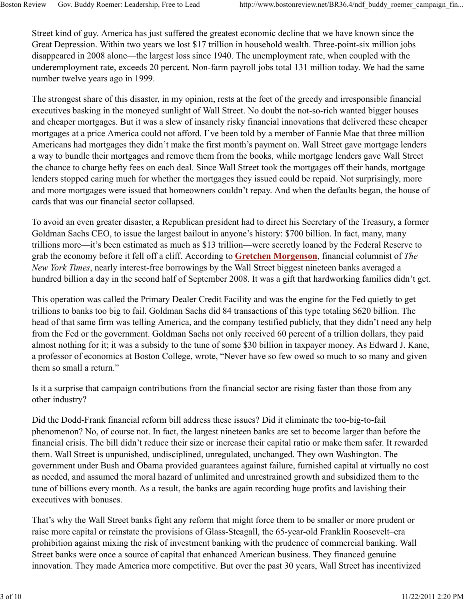Street kind of guy. America has just suffered the greatest economic decline that we have known since the Great Depression. Within two years we lost \$17 trillion in household wealth. Three-point-six million jobs disappeared in 2008 alone—the largest loss since 1940. The unemployment rate, when coupled with the underemployment rate, exceeds 20 percent. Non-farm payroll jobs total 131 million today. We had the same number twelve years ago in 1999.

The strongest share of this disaster, in my opinion, rests at the feet of the greedy and irresponsible financial executives basking in the moneyed sunlight of Wall Street. No doubt the not-so-rich wanted bigger houses and cheaper mortgages. But it was a slew of insanely risky financial innovations that delivered these cheaper mortgages at a price America could not afford. I've been told by a member of Fannie Mae that three million Americans had mortgages they didn't make the first month's payment on. Wall Street gave mortgage lenders a way to bundle their mortgages and remove them from the books, while mortgage lenders gave Wall Street the chance to charge hefty fees on each deal. Since Wall Street took the mortgages off their hands, mortgage lenders stopped caring much for whether the mortgages they issued could be repaid. Not surprisingly, more and more mortgages were issued that homeowners couldn't repay. And when the defaults began, the house of cards that was our financial sector collapsed.

To avoid an even greater disaster, a Republican president had to direct his Secretary of the Treasury, a former Goldman Sachs CEO, to issue the largest bailout in anyone's history: \$700 billion. In fact, many, many trillions more—it's been estimated as much as \$13 trillion—were secretly loaned by the Federal Reserve to grab the economy before it fell off a cliff. According to Gretchen Morgenson, financial columnist of The New York Times, nearly interest-free borrowings by the Wall Street biggest nineteen banks averaged a hundred billion a day in the second half of September 2008. It was a gift that hardworking families didn't get.

This operation was called the Primary Dealer Credit Facility and was the engine for the Fed quietly to get trillions to banks too big to fail. Goldman Sachs did 84 transactions of this type totaling \$620 billion. The head of that same firm was telling America, and the company testified publicly, that they didn't need any help from the Fed or the government. Goldman Sachs not only received 60 percent of a trillion dollars, they paid almost nothing for it; it was a subsidy to the tune of some \$30 billion in taxpayer money. As Edward J. Kane, a professor of economics at Boston College, wrote, "Never have so few owed so much to so many and given them so small a return."

Is it a surprise that campaign contributions from the financial sector are rising faster than those from any other industry?

Did the Dodd-Frank financial reform bill address these issues? Did it eliminate the too-big-to-fail phenomenon? No, of course not. In fact, the largest nineteen banks are set to become larger than before the financial crisis. The bill didn't reduce their size or increase their capital ratio or make them safer. It rewarded them. Wall Street is unpunished, undisciplined, unregulated, unchanged. They own Washington. The government under Bush and Obama provided guarantees against failure, furnished capital at virtually no cost as needed, and assumed the moral hazard of unlimited and unrestrained growth and subsidized them to the tune of billions every month. As a result, the banks are again recording huge profits and lavishing their executives with bonuses.

That's why the Wall Street banks fight any reform that might force them to be smaller or more prudent or raise more capital or reinstate the provisions of Glass-Steagall, the 65-year-old Franklin Roosevelt–era prohibition against mixing the risk of investment banking with the prudence of commercial banking. Wall Street banks were once a source of capital that enhanced American business. They financed genuine innovation. They made America more competitive. But over the past 30 years, Wall Street has incentivized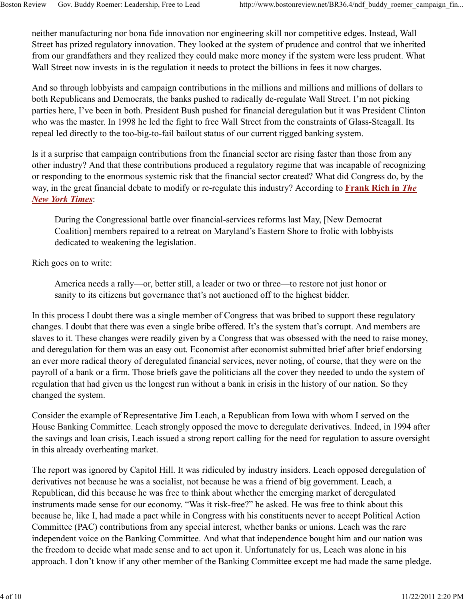neither manufacturing nor bona fide innovation nor engineering skill nor competitive edges. Instead, Wall Street has prized regulatory innovation. They looked at the system of prudence and control that we inherited from our grandfathers and they realized they could make more money if the system were less prudent. What Wall Street now invests in is the regulation it needs to protect the billions in fees it now charges.

And so through lobbyists and campaign contributions in the millions and millions and millions of dollars to both Republicans and Democrats, the banks pushed to radically de-regulate Wall Street. I'm not picking parties here, I've been in both. President Bush pushed for financial deregulation but it was President Clinton who was the master. In 1998 he led the fight to free Wall Street from the constraints of Glass-Steagall. Its repeal led directly to the too-big-to-fail bailout status of our current rigged banking system.

Is it a surprise that campaign contributions from the financial sector are rising faster than those from any other industry? And that these contributions produced a regulatory regime that was incapable of recognizing or responding to the enormous systemic risk that the financial sector created? What did Congress do, by the way, in the great financial debate to modify or re-regulate this industry? According to Frank Rich in The New York Times:

During the Congressional battle over financial-services reforms last May, [New Democrat Coalition] members repaired to a retreat on Maryland's Eastern Shore to frolic with lobbyists dedicated to weakening the legislation.

Rich goes on to write:

America needs a rally—or, better still, a leader or two or three—to restore not just honor or sanity to its citizens but governance that's not auctioned off to the highest bidder.

In this process I doubt there was a single member of Congress that was bribed to support these regulatory changes. I doubt that there was even a single bribe offered. It's the system that's corrupt. And members are slaves to it. These changes were readily given by a Congress that was obsessed with the need to raise money, and deregulation for them was an easy out. Economist after economist submitted brief after brief endorsing an ever more radical theory of deregulated financial services, never noting, of course, that they were on the payroll of a bank or a firm. Those briefs gave the politicians all the cover they needed to undo the system of regulation that had given us the longest run without a bank in crisis in the history of our nation. So they changed the system.

Consider the example of Representative Jim Leach, a Republican from Iowa with whom I served on the House Banking Committee. Leach strongly opposed the move to deregulate derivatives. Indeed, in 1994 after the savings and loan crisis, Leach issued a strong report calling for the need for regulation to assure oversight in this already overheating market.

The report was ignored by Capitol Hill. It was ridiculed by industry insiders. Leach opposed deregulation of derivatives not because he was a socialist, not because he was a friend of big government. Leach, a Republican, did this because he was free to think about whether the emerging market of deregulated instruments made sense for our economy. "Was it risk-free?" he asked. He was free to think about this because he, like I, had made a pact while in Congress with his constituents never to accept Political Action Committee (PAC) contributions from any special interest, whether banks or unions. Leach was the rare independent voice on the Banking Committee. And what that independence bought him and our nation was the freedom to decide what made sense and to act upon it. Unfortunately for us, Leach was alone in his approach. I don't know if any other member of the Banking Committee except me had made the same pledge.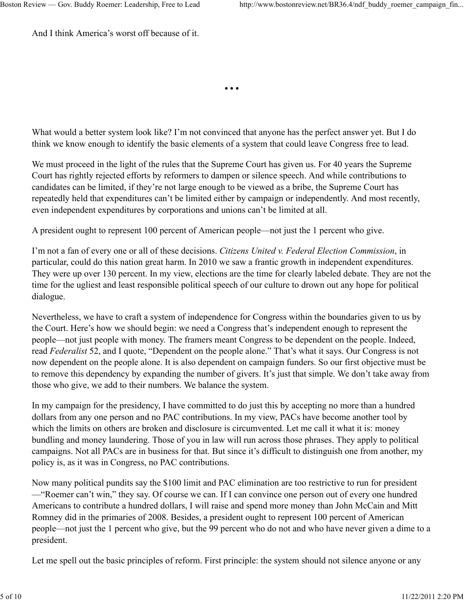And I think America's worst off because of it.

• • •

What would a better system look like? I'm not convinced that anyone has the perfect answer yet. But I do think we know enough to identify the basic elements of a system that could leave Congress free to lead.

We must proceed in the light of the rules that the Supreme Court has given us. For 40 years the Supreme Court has rightly rejected efforts by reformers to dampen or silence speech. And while contributions to candidates can be limited, if they're not large enough to be viewed as a bribe, the Supreme Court has repeatedly held that expenditures can't be limited either by campaign or independently. And most recently, even independent expenditures by corporations and unions can't be limited at all.

A president ought to represent 100 percent of American people—not just the 1 percent who give.

I'm not a fan of every one or all of these decisions. Citizens United v. Federal Election Commission, in particular, could do this nation great harm. In 2010 we saw a frantic growth in independent expenditures. They were up over 130 percent. In my view, elections are the time for clearly labeled debate. They are not the time for the ugliest and least responsible political speech of our culture to drown out any hope for political dialogue.

Nevertheless, we have to craft a system of independence for Congress within the boundaries given to us by the Court. Here's how we should begin: we need a Congress that's independent enough to represent the people—not just people with money. The framers meant Congress to be dependent on the people. Indeed, read Federalist 52, and I quote, "Dependent on the people alone." That's what it says. Our Congress is not now dependent on the people alone. It is also dependent on campaign funders. So our first objective must be to remove this dependency by expanding the number of givers. It's just that simple. We don't take away from those who give, we add to their numbers. We balance the system.

In my campaign for the presidency, I have committed to do just this by accepting no more than a hundred dollars from any one person and no PAC contributions. In my view, PACs have become another tool by which the limits on others are broken and disclosure is circumvented. Let me call it what it is: money bundling and money laundering. Those of you in law will run across those phrases. They apply to political campaigns. Not all PACs are in business for that. But since it's difficult to distinguish one from another, my policy is, as it was in Congress, no PAC contributions.

Now many political pundits say the \$100 limit and PAC elimination are too restrictive to run for president —"Roemer can't win," they say. Of course we can. If I can convince one person out of every one hundred Americans to contribute a hundred dollars, I will raise and spend more money than John McCain and Mitt Romney did in the primaries of 2008. Besides, a president ought to represent 100 percent of American people—not just the 1 percent who give, but the 99 percent who do not and who have never given a dime to a president.

Let me spell out the basic principles of reform. First principle: the system should not silence anyone or any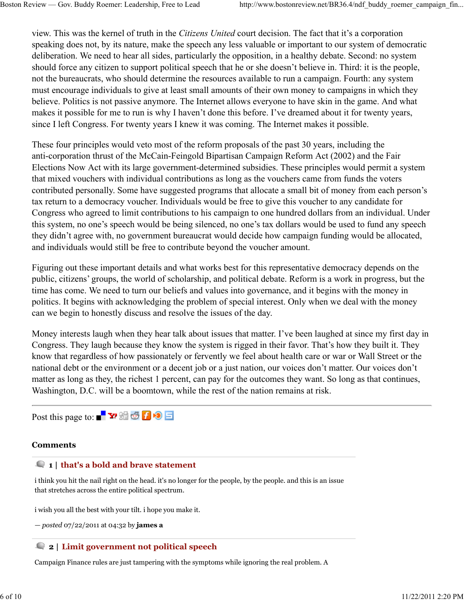view. This was the kernel of truth in the Citizens United court decision. The fact that it's a corporation speaking does not, by its nature, make the speech any less valuable or important to our system of democratic deliberation. We need to hear all sides, particularly the opposition, in a healthy debate. Second: no system should force any citizen to support political speech that he or she doesn't believe in. Third: it is the people, not the bureaucrats, who should determine the resources available to run a campaign. Fourth: any system must encourage individuals to give at least small amounts of their own money to campaigns in which they believe. Politics is not passive anymore. The Internet allows everyone to have skin in the game. And what makes it possible for me to run is why I haven't done this before. I've dreamed about it for twenty years, since I left Congress. For twenty years I knew it was coming. The Internet makes it possible.

These four principles would veto most of the reform proposals of the past 30 years, including the anti-corporation thrust of the McCain-Feingold Bipartisan Campaign Reform Act (2002) and the Fair Elections Now Act with its large government-determined subsidies. These principles would permit a system that mixed vouchers with individual contributions as long as the vouchers came from funds the voters contributed personally. Some have suggested programs that allocate a small bit of money from each person's tax return to a democracy voucher. Individuals would be free to give this voucher to any candidate for Congress who agreed to limit contributions to his campaign to one hundred dollars from an individual. Under this system, no one's speech would be being silenced, no one's tax dollars would be used to fund any speech they didn't agree with, no government bureaucrat would decide how campaign funding would be allocated, and individuals would still be free to contribute beyond the voucher amount.

Figuring out these important details and what works best for this representative democracy depends on the public, citizens' groups, the world of scholarship, and political debate. Reform is a work in progress, but the time has come. We need to turn our beliefs and values into governance, and it begins with the money in politics. It begins with acknowledging the problem of special interest. Only when we deal with the money can we begin to honestly discuss and resolve the issues of the day.

Money interests laugh when they hear talk about issues that matter. I've been laughed at since my first day in Congress. They laugh because they know the system is rigged in their favor. That's how they built it. They know that regardless of how passionately or fervently we feel about health care or war or Wall Street or the national debt or the environment or a decent job or a just nation, our voices don't matter. Our voices don't matter as long as they, the richest 1 percent, can pay for the outcomes they want. So long as that continues, Washington, D.C. will be a boomtown, while the rest of the nation remains at risk.

Post this page to:  $\blacksquare$   $\blacksquare$   $\blacksquare$   $\blacksquare$   $\blacksquare$   $\blacksquare$   $\blacksquare$ 

#### Comments

## 1 | that's a bold and brave statement

i think you hit the nail right on the head. it's no longer for the people, by the people. and this is an issue that stretches across the entire political spectrum.

i wish you all the best with your tilt. i hope you make it.

 $-posted$  07/22/2011 at 04:32 by james a

## 2 | Limit government not political speech

Campaign Finance rules are just tampering with the symptoms while ignoring the real problem. A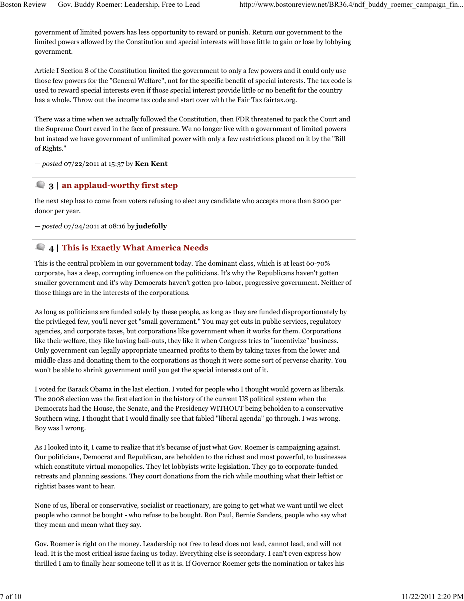government of limited powers has less opportunity to reward or punish. Return our government to the limited powers allowed by the Constitution and special interests will have little to gain or lose by lobbying government.

Article I Section 8 of the Constitution limited the government to only a few powers and it could only use those few powers for the "General Welfare", not for the specific benefit of special interests. The tax code is used to reward special interests even if those special interest provide little or no benefit for the country has a whole. Throw out the income tax code and start over with the Fair Tax fairtax.org.

There was a time when we actually followed the Constitution, then FDR threatened to pack the Court and the Supreme Court caved in the face of pressure. We no longer live with a government of limited powers but instead we have government of unlimited power with only a few restrictions placed on it by the "Bill of Rights."

— posted 07/22/2011 at 15:37 by Ken Kent

## 3 | an applaud-worthy first step

the next step has to come from voters refusing to elect any candidate who accepts more than \$200 per donor per year.

 $-posted$  07/24/2011 at 08:16 by judefolly

## 4 | This is Exactly What America Needs

This is the central problem in our government today. The dominant class, which is at least 60-70% corporate, has a deep, corrupting influence on the politicians. It's why the Republicans haven't gotten smaller government and it's why Democrats haven't gotten pro-labor, progressive government. Neither of those things are in the interests of the corporations.

As long as politicians are funded solely by these people, as long as they are funded disproportionately by the privileged few, you'll never get "small government." You may get cuts in public services, regulatory agencies, and corporate taxes, but corporations like government when it works for them. Corporations like their welfare, they like having bail-outs, they like it when Congress tries to "incentivize" business. Only government can legally appropriate unearned profits to them by taking taxes from the lower and middle class and donating them to the corporations as though it were some sort of perverse charity. You won't be able to shrink government until you get the special interests out of it.

I voted for Barack Obama in the last election. I voted for people who I thought would govern as liberals. The 2008 election was the first election in the history of the current US political system when the Democrats had the House, the Senate, and the Presidency WITHOUT being beholden to a conservative Southern wing. I thought that I would finally see that fabled "liberal agenda" go through. I was wrong. Boy was I wrong.

As I looked into it, I came to realize that it's because of just what Gov. Roemer is campaigning against. Our politicians, Democrat and Republican, are beholden to the richest and most powerful, to businesses which constitute virtual monopolies. They let lobbyists write legislation. They go to corporate-funded retreats and planning sessions. They court donations from the rich while mouthing what their leftist or rightist bases want to hear.

None of us, liberal or conservative, socialist or reactionary, are going to get what we want until we elect people who cannot be bought - who refuse to be bought. Ron Paul, Bernie Sanders, people who say what they mean and mean what they say.

Gov. Roemer is right on the money. Leadership not free to lead does not lead, cannot lead, and will not lead. It is the most critical issue facing us today. Everything else is secondary. I can't even express how thrilled I am to finally hear someone tell it as it is. If Governor Roemer gets the nomination or takes his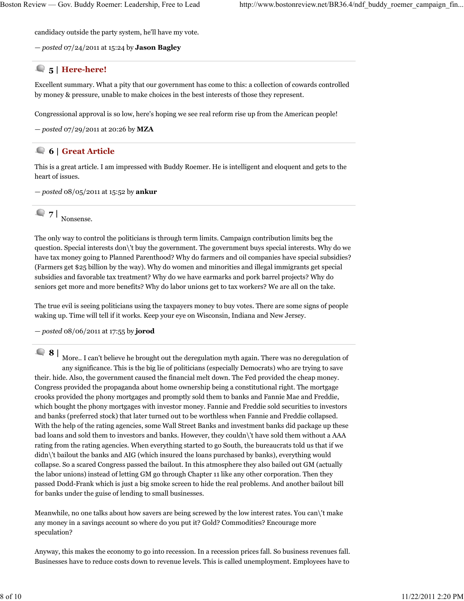candidacy outside the party system, he'll have my vote.

 $-posted$  07/24/2011 at 15:24 by **Jason Bagley** 

#### 5 | Here-here!

Excellent summary. What a pity that our government has come to this: a collection of cowards controlled by money & pressure, unable to make choices in the best interests of those they represent.

Congressional approval is so low, here's hoping we see real reform rise up from the American people!

— posted 07/29/2011 at 20:26 by MZA

#### 6 | Great Article

This is a great article. I am impressed with Buddy Roemer. He is intelligent and eloquent and gets to the heart of issues.

 $-posted 08/05/2011$  at 15:52 by ankur

7 | Nonsense.

The only way to control the politicians is through term limits. Campaign contribution limits beg the question. Special interests don\'t buy the government. The government buys special interests. Why do we have tax money going to Planned Parenthood? Why do farmers and oil companies have special subsidies? (Farmers get \$25 billion by the way). Why do women and minorities and illegal immigrants get special subsidies and favorable tax treatment? Why do we have earmarks and pork barrel projects? Why do seniors get more and more benefits? Why do labor unions get to tax workers? We are all on the take.

The true evil is seeing politicians using the taxpayers money to buy votes. There are some signs of people waking up. Time will tell if it works. Keep your eye on Wisconsin, Indiana and New Jersey.

— posted 08/06/2011 at 17:55 by jorod

**8** | More.. I can't believe he brought out the deregulation myth again. There was no deregulation of any significance. This is the big lie of politicians (especially Democrats) who are trying to save their. hide. Also, the government caused the financial melt down. The Fed provided the cheap money. Congress provided the propaganda about home ownership being a constitutional right. The mortgage crooks provided the phony mortgages and promptly sold them to banks and Fannie Mae and Freddie, which bought the phony mortgages with investor money. Fannie and Freddie sold securities to investors and banks (preferred stock) that later turned out to be worthless when Fannie and Freddie collapsed. With the help of the rating agencies, some Wall Street Banks and investment banks did package up these bad loans and sold them to investors and banks. However, they couldn\'t have sold them without a AAA rating from the rating agencies. When everything started to go South, the bureaucrats told us that if we didn\'t bailout the banks and AIG (which insured the loans purchased by banks), everything would collapse. So a scared Congress passed the bailout. In this atmosphere they also bailed out GM (actually the labor unions) instead of letting GM go through Chapter 11 like any other corporation. Then they passed Dodd-Frank which is just a big smoke screen to hide the real problems. And another bailout bill for banks under the guise of lending to small businesses.

Meanwhile, no one talks about how savers are being screwed by the low interest rates. You can\'t make any money in a savings account so where do you put it? Gold? Commodities? Encourage more speculation?

Anyway, this makes the economy to go into recession. In a recession prices fall. So business revenues fall. Businesses have to reduce costs down to revenue levels. This is called unemployment. Employees have to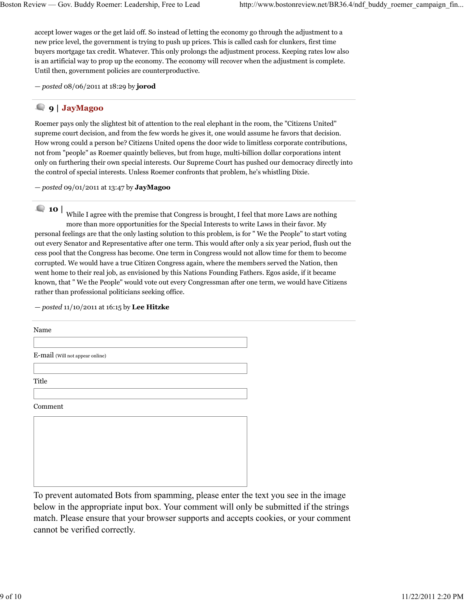accept lower wages or the get laid off. So instead of letting the economy go through the adjustment to a new price level, the government is trying to push up prices. This is called cash for clunkers, first time buyers mortgage tax credit. Whatever. This only prolongs the adjustment process. Keeping rates low also is an artificial way to prop up the economy. The economy will recover when the adjustment is complete. Until then, government policies are counterproductive.

— posted 08/06/2011 at 18:29 by jorod

## 9 | JayMagoo

Roemer pays only the slightest bit of attention to the real elephant in the room, the "Citizens United" supreme court decision, and from the few words he gives it, one would assume he favors that decision. How wrong could a person be? Citizens United opens the door wide to limitless corporate contributions, not from "people" as Roemer quaintly believes, but from huge, multi-billion dollar corporations intent only on furthering their own special interests. Our Supreme Court has pushed our democracy directly into the control of special interests. Unless Roemer confronts that problem, he's whistling Dixie.

 $-posted$  09/01/2011 at 13:47 by JayMagoo

 $\blacksquare$  10 | While I agree with the premise that Congress is brought, I feel that more Laws are nothing more than more opportunities for the Special Interests to write Laws in their favor. My personal feelings are that the only lasting solution to this problem, is for " We the People" to start voting out every Senator and Representative after one term. This would after only a six year period, flush out the cess pool that the Congress has become. One term in Congress would not allow time for them to become corrupted. We would have a true Citizen Congress again, where the members served the Nation, then went home to their real job, as envisioned by this Nations Founding Fathers. Egos aside, if it became known, that " We the People" would vote out every Congressman after one term, we would have Citizens rather than professional politicians seeking office.

 $-posted$  11/10/2011 at 16:15 by Lee Hitzke

| Name                            |
|---------------------------------|
|                                 |
| E-mail (Will not appear online) |
|                                 |
| Title                           |
|                                 |
| Comment                         |
|                                 |
|                                 |
|                                 |
|                                 |

To prevent automated Bots from spamming, please enter the text you see in the image below in the appropriate input box. Your comment will only be submitted if the strings match. Please ensure that your browser supports and accepts cookies, or your comment cannot be verified correctly.